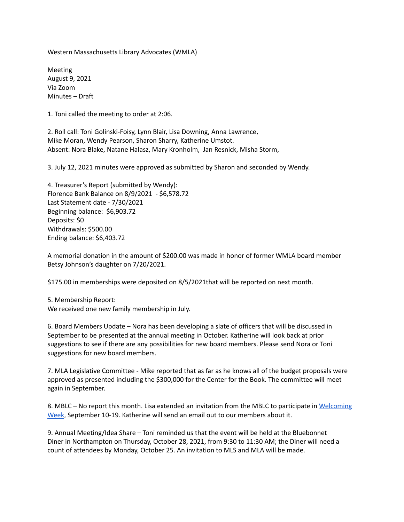Western Massachusetts Library Advocates (WMLA)

Meeting August 9, 2021 Via Zoom Minutes – Draft

1. Toni called the meeting to order at 2:06.

2. Roll call: Toni Golinski-Foisy, Lynn Blair, Lisa Downing, Anna Lawrence, Mike Moran, Wendy Pearson, Sharon Sharry, Katherine Umstot. Absent: Nora Blake, Natane Halasz, Mary Kronholm, Jan Resnick, Misha Storm,

3. July 12, 2021 minutes were approved as submitted by Sharon and seconded by Wendy.

4. Treasurer's Report (submitted by Wendy): Florence Bank Balance on 8/9/2021 - \$6,578.72 Last Statement date - 7/30/2021 Beginning balance: \$6,903.72 Deposits: \$0 Withdrawals: \$500.00 Ending balance: \$6,403.72

A memorial donation in the amount of \$200.00 was made in honor of former WMLA board member Betsy Johnson's daughter on 7/20/2021.

\$175.00 in memberships were deposited on 8/5/2021that will be reported on next month.

5. Membership Report: We received one new family membership in July.

6. Board Members Update – Nora has been developing a slate of officers that will be discussed in September to be presented at the annual meeting in October. Katherine will look back at prior suggestions to see if there are any possibilities for new board members. Please send Nora or Toni suggestions for new board members.

7. MLA Legislative Committee - Mike reported that as far as he knows all of the budget proposals were approved as presented including the \$300,000 for the Center for the Book. The committee will meet again in September.

8. MBLC – No report this month. Lisa extended an invitation from the MBLC to participate in [Welcoming](https://welcomingamerica.org/initiatives/welcoming-week/) [Week](https://welcomingamerica.org/initiatives/welcoming-week/), September 10-19. Katherine will send an email out to our members about it.

9. Annual Meeting/Idea Share – Toni reminded us that the event will be held at the Bluebonnet Diner in Northampton on Thursday, October 28, 2021, from 9:30 to 11:30 AM; the Diner will need a count of attendees by Monday, October 25. An invitation to MLS and MLA will be made.